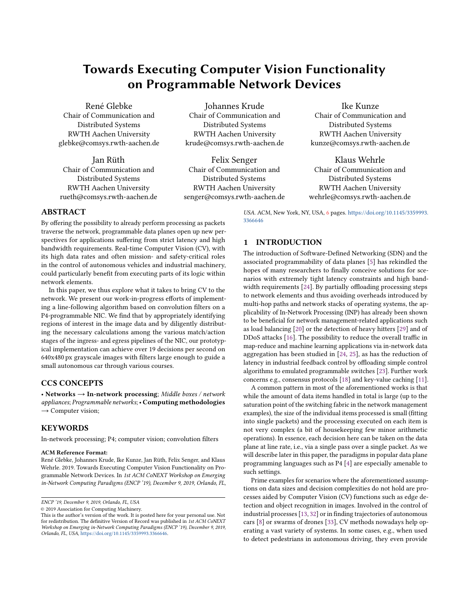# Towards Executing Computer Vision Functionality on Programmable Network Devices

René Glebke Chair of Communication and Distributed Systems RWTH Aachen University glebke@comsys.rwth-aachen.de

Jan Rüth Chair of Communication and Distributed Systems RWTH Aachen University rueth@comsys.rwth-aachen.de

Johannes Krude Chair of Communication and Distributed Systems RWTH Aachen University krude@comsys.rwth-aachen.de

Felix Senger Chair of Communication and Distributed Systems RWTH Aachen University senger@comsys.rwth-aachen.de

# Ike Kunze

Chair of Communication and Distributed Systems RWTH Aachen University kunze@comsys.rwth-aachen.de

Klaus Wehrle Chair of Communication and Distributed Systems RWTH Aachen University wehrle@comsys.rwth-aachen.de

## ABSTRACT

By offering the possibility to already perform processing as packets traverse the network, programmable data planes open up new perspectives for applications suffering from strict latency and high bandwidth requirements. Real-time Computer Vision (CV), with its high data rates and often mission- and safety-critical roles in the control of autonomous vehicles and industrial machinery, could particularly benefit from executing parts of its logic within network elements.

In this paper, we thus explore what it takes to bring CV to the network. We present our work-in-progress efforts of implementing a line-following algorithm based on convolution filters on a P4-programmable NIC. We find that by appropriately identifying regions of interest in the image data and by diligently distributing the necessary calculations among the various match/action stages of the ingress- and egress pipelines of the NIC, our prototypical implementation can achieve over 19 decisions per second on 640x480 px grayscale images with filters large enough to guide a small autonomous car through various courses.

## CCS CONCEPTS

• Networks  $\rightarrow$  In-network processing; Middle boxes / network appliances; Programmable networks;• Computing methodologies  $\rightarrow$  Computer vision;

## **KEYWORDS**

In-network processing; P4; computer vision; convolution filters

#### ACM Reference Format:

René Glebke, Johannes Krude, Ike Kunze, Jan Rüth, Felix Senger, and Klaus Wehrle. 2019. Towards Executing Computer Vision Functionality on Programmable Network Devices. In 1st ACM CoNEXT Workshop on Emerging in-Network Computing Paradigms (ENCP '19), December 9, 2019, Orlando, FL,

© 2019 Association for Computing Machinery.

USA. ACM, New York, NY, USA, [6](#page-5-0) pages. [https://doi.org/10.1145/3359993.](https://doi.org/10.1145/3359993.3366646) [3366646](https://doi.org/10.1145/3359993.3366646)

## 1 INTRODUCTION

The introduction of Software-Defined Networking (SDN) and the associated programmability of data planes [\[5\]](#page-5-1) has rekindled the hopes of many researchers to finally conceive solutions for scenarios with extremely tight latency constraints and high bandwidth requirements [\[24\]](#page-5-2). By partially offloading processing steps to network elements and thus avoiding overheads introduced by multi-hop paths and network stacks of operating systems, the applicability of In-Network Processing (INP) has already been shown to be beneficial for network management-related applications such as load balancing [\[20\]](#page-5-3) or the detection of heavy hitters [\[29\]](#page-5-4) and of DDoS attacks [\[16\]](#page-5-5). The possibility to reduce the overall traffic in map-reduce and machine learning applications via in-network data aggregation has been studied in [\[24,](#page-5-2) [25\]](#page-5-6), as has the reduction of latency in industrial feedback control by offloading simple control algorithms to emulated programmable switches [\[23\]](#page-5-7). Further work concerns e.g., consensus protocols [\[18\]](#page-5-8) and key-value caching [\[11\]](#page-5-9).

A common pattern in most of the aforementioned works is that while the amount of data items handled in total is large (up to the saturation point of the switching fabric in the network management examples), the size of the individual items processed is small (fitting into single packets) and the processing executed on each item is not very complex (a bit of housekeeping few minor arithmetic operations). In essence, each decision here can be taken on the data plane at line rate, i.e., via a single pass over a single packet. As we will describe later in this paper, the paradigms in popular data plane programming languages such as P4 [\[4\]](#page-5-10) are especially amenable to such settings.

Prime examples for scenarios where the aforementioned assumptions on data sizes and decision complexities do not hold are processes aided by Computer Vision (CV) functions such as edge detection and object recognition in images. Involved in the control of industrial processes [\[13,](#page-5-11) [32\]](#page-5-12) or in finding trajectories of autonomous cars [\[8\]](#page-5-13) or swarms of drones [\[33\]](#page-5-14), CV methods nowadays help operating a vast variety of systems. In some cases, e.g., when used to detect pedestrians in autonomous driving, they even provide

ENCP '19, December 9, 2019, Orlando, FL, USA

This is the author's version of the work. It is posted here for your personal use. Not for redistribution. The definitive Version of Record was published in 1st ACM CoNEXT Workshop on Emerging in-Network Computing Paradigms (ENCP '19), December 9, 2019, Orlando, FL, USA, [https://doi.org/10.1145/3359993.3366646.](https://doi.org/10.1145/3359993.3366646)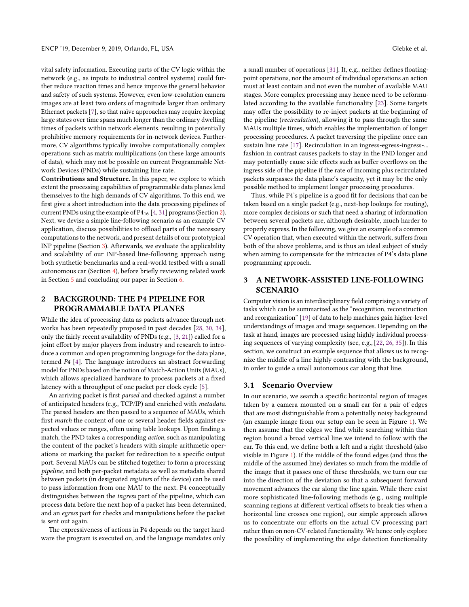vital safety information. Executing parts of the CV logic within the network (e.g., as inputs to industrial control systems) could further reduce reaction times and hence improve the general behavior and safety of such systems. However, even low-resolution camera images are at least two orders of magnitude larger than ordinary Ethernet packets [\[7\]](#page-5-15), so that naïve approaches may require keeping large states over time spans much longer than the ordinary dwelling times of packets within network elements, resulting in potentially prohibitive memory requirements for in-network devices. Furthermore, CV algorithms typically involve computationally complex operations such as matrix multiplications (on these large amounts of data), which may not be possible on current Programmable Network Devices (PNDs) while sustaining line rate.

Contributions and Structure. In this paper, we explore to which extent the processing capabilities of programmable data planes lend themselves to the high demands of CV algorithms. To this end, we first give a short introduction into the data processing pipelines of current PNDs using the example of P416 [\[4,](#page-5-10) [31\]](#page-5-16) programs (Section [2\)](#page-1-0). Next, we devise a simple line-following scenario as an example CV application, discuss possibilities to offload parts of the necessary computations to the network, and present details of our prototypical INP pipeline (Section [3\)](#page-1-1). Afterwards, we evaluate the applicability and scalability of our INP-based line-following approach using both synthetic benchmarks and a real-world testbed with a small autonomous car (Section [4\)](#page-3-0), before briefly reviewing related work in Section [5](#page-4-0) and concluding our paper in Section [6.](#page-4-1)

# <span id="page-1-0"></span>2 BACKGROUND: THE P4 PIPELINE FOR PROGRAMMABLE DATA PLANES

While the idea of processing data as packets advance through networks has been repeatedly proposed in past decades [\[28,](#page-5-17) [30,](#page-5-18) [34\]](#page-5-19), only the fairly recent availability of PNDs (e.g., [\[3,](#page-5-20) [21\]](#page-5-21)) called for a joint effort by major players from industry and research to introduce a common and open programming language for the data plane, termed P4 [\[4\]](#page-5-10). The language introduces an abstract forwarding model for PNDs based on the notion of Match-Action Units (MAUs), which allows specialized hardware to process packets at a fixed latency with a throughput of one packet per clock cycle [\[5\]](#page-5-1).

An arriving packet is first parsed and checked against a number of anticipated headers (e.g., TCP/IP) and enriched with metadata. The parsed headers are then passed to a sequence of MAUs, which first match the content of one or several header fields against expected values or ranges, often using table lookups. Upon finding a match, the PND takes a corresponding action, such as manipulating the content of the packet's headers with simple arithmetic operations or marking the packet for redirection to a specific output port. Several MAUs can be stitched together to form a processing pipeline, and both per-packet metadata as well as metadata shared between packets (in designated registers of the device) can be used to pass information from one MAU to the next. P4 conceptually distinguishes between the ingress part of the pipeline, which can process data before the next hop of a packet has been determined, and an egress part for checks and manipulations before the packet is sent out again.

The expressiveness of actions in P4 depends on the target hardware the program is executed on, and the language mandates only

a small number of operations [\[31\]](#page-5-16). It, e.g., neither defines floatingpoint operations, nor the amount of individual operations an action must at least contain and not even the number of available MAU stages. More complex processing may hence need to be reformulated according to the available functionality [\[23\]](#page-5-7). Some targets may offer the possibility to re-inject packets at the beginning of the pipeline (recirculation), allowing it to pass through the same MAUs multiple times, which enables the implementation of longer processing procedures. A packet traversing the pipeline once can sustain line rate [\[17\]](#page-5-22). Recirculation in an ingress-egress-ingress-... fashion in contrast causes packets to stay in the PND longer and may potentially cause side effects such as buffer overflows on the ingress side of the pipeline if the rate of incoming plus recirculated packets surpasses the data plane's capacity, yet it may be the only possible method to implement longer processing procedures.

Thus, while P4's pipeline is a good fit for decisions that can be taken based on a single packet (e.g., next-hop lookups for routing), more complex decisions or such that need a sharing of information between several packets are, although desirable, much harder to properly express. In the following, we give an example of a common CV operation that, when executed within the network, suffers from both of the above problems, and is thus an ideal subject of study when aiming to compensate for the intricacies of P4's data plane programming approach.

## <span id="page-1-1"></span>3 A NETWORK-ASSISTED LINE-FOLLOWING **SCENARIO**

Computer vision is an interdisciplinary field comprising a variety of tasks which can be summarized as the "recognition, reconstruction and reorganization" [\[19\]](#page-5-23) of data to help machines gain higher-level understandings of images and image sequences. Depending on the task at hand, images are processed using highly individual processing sequences of varying complexity (see, e.g., [\[22,](#page-5-24) [26,](#page-5-25) [35\]](#page-5-26)). In this section, we construct an example sequence that allows us to recognize the middle of a line highly contrasting with the background, in order to guide a small autonomous car along that line.

### <span id="page-1-2"></span>3.1 Scenario Overview

In our scenario, we search a specific horizontal region of images taken by a camera mounted on a small car for a pair of edges that are most distinguishable from a potentially noisy background (an example image from our setup can be seen in Figure [1\)](#page-2-0). We then assume that the edges we find while searching within that region bound a broad vertical line we intend to follow with the car. To this end, we define both a left and a right threshold (also visible in Figure [1\)](#page-2-0). If the middle of the found edges (and thus the middle of the assumed line) deviates so much from the middle of the image that it passes one of these thresholds, we turn our car into the direction of the deviation so that a subsequent forward movement advances the car along the line again. While there exist more sophisticated line-following methods (e.g., using multiple scanning regions at different vertical offsets to break ties when a horizontal line crosses one region), our simple approach allows us to concentrate our efforts on the actual CV processing part rather than on non-CV-related functionality. We hence only explore the possibility of implementing the edge detection functionality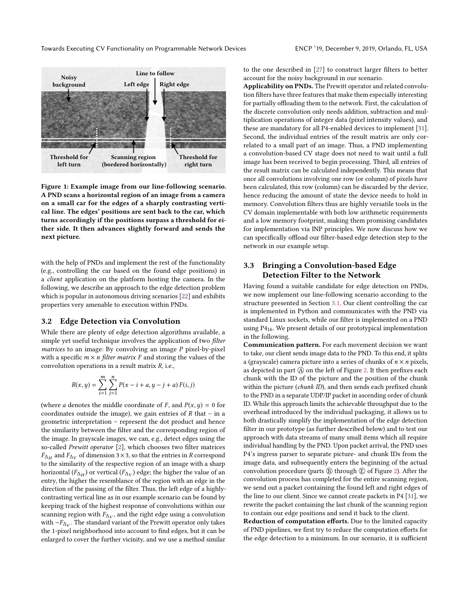Towards Executing CV Functionality on Programmable Network Devices ENCP '19, December 9, 2019, Orlando, FL, USA

<span id="page-2-0"></span>

Figure 1: Example image from our line-following scenario. A PND scans a horizontal region of an image from a camera on a small car for the edges of a sharply contrasting vertical line. The edges' positions are sent back to the car, which turns accordingly if the positions surpass a threshold for either side. It then advances slightly forward and sends the next picture.

with the help of PNDs and implement the rest of the functionality (e.g., controlling the car based on the found edge positions) in a client application on the platform hosting the camera. In the following, we describe an approach to the edge detection problem which is popular in autonomous driving scenarios [\[22\]](#page-5-24) and exhibits properties very amenable to execution within PNDs.

## <span id="page-2-1"></span>3.2 Edge Detection via Convolution

While there are plenty of edge detection algorithms available, a simple yet useful technique involves the application of two *filter* matrices to an image: By convolving an image P pixel-by-pixel with a specific  $m \times n$  filter matrix F and storing the values of the convolution operations in a result matrix  $R$ , i.e.,

$$
R(x, y) = \sum_{i=1}^{m} \sum_{j=1}^{n} P(x - i + a, y - j + a) F(i, j)
$$

(where *a* denotes the middle coordinate of *F*, and  $P(x, y) = 0$  for coordinates outside the image), we gain entries of  $R$  that  $-$  in a geometric interpretation – represent the dot product and hence the similarity between the filter and the corresponding region of the image. In grayscale images, we can, e.g., detect edges using the so-called Prewitt operator [\[2\]](#page-5-27), which chooses two filter matrices  $F_{\Delta H}$  and  $F_{\Delta V}$  or all the respective region of an image with a sharp to the similarity of the respective region of an image with a sharp and  $F_{\Delta V}$  of dimension 3×3, so that the entries in R correspond<br>e similarity of the respective region of an image with a sharp horizontal  $(F_{\Delta_H})$  or vertical  $(F_{\Delta_V})$  edge; the higher the value of an entry the higher the recemblance of the region with an edge in the entry, the higher the resemblance of the region with an edge in the direction of the passing of the filter. Thus, the left edge of a highlycontrasting vertical line as in our example scenario can be found by keeping track of the highest response of convolutions within our scanning region with  $F_{\Delta V}$ , and the right edge using a convolution<br>with  $-F_{\Delta V}$ . The standard variant of the Prewitt operator only takes with  $-F_{\Delta V}$ . The standard variant of the Prewitt operator only takes the 1-pixel peighborhood into account to find edges but it can be the 1-pixel neighborhood into account to find edges, but it can be enlarged to cover the further vicinity, and we use a method similar

to the one described in [\[27\]](#page-5-28) to construct larger filters to better account for the noisy background in our scenario.

Applicability on PNDs. The Prewitt operator and related convolution filters have three features that make them especially interesting for partially offloading them to the network. First, the calculation of the discrete convolution only needs addition, subtraction and multiplication operations of integer data (pixel intensity values), and these are mandatory for all P4-enabled devices to implement [\[31\]](#page-5-16). Second, the individual entries of the result matrix are only correlated to a small part of an image. Thus, a PND implementing a convolution-based CV stage does not need to wait until a full image has been received to begin processing. Third, all entries of the result matrix can be calculated independently. This means that once all convolutions involving one row (or column) of pixels have been calculated, this row (column) can be discarded by the device, hence reducing the amount of state the device needs to hold in memory. Convolution filters thus are highly versatile tools in the CV domain implementable with both low arithmetic requirements and a low memory footprint, making them promising candidates for implementation via INP principles. We now discuss how we can specifically offload our filter-based edge detection step to the network in our example setup.

## 3.3 Bringing a Convolution-based Edge Detection Filter to the Network

Having found a suitable candidate for edge detection on PNDs, we now implement our line-following scenario according to the structure presented in Section [3.1.](#page-1-2) Our client controlling the car is implemented in Python and communicates with the PND via standard Linux sockets, while our filter is implemented on a PND using P416. We present details of our prototypical implementation in the following.

Communication pattern. For each movement decision we want to take, our client sends image data to the PND. To this end, it splits a (grayscale) camera picture into a series of chunks of  $n \times n$  pixels, as depicted in part  $\overline{A}$  on the left of Figure [2.](#page-3-1) It then prefixes each chunk with the ID of the picture and the position of the chunk within the picture (chunk ID), and then sends each prefixed chunk to the PND in a separate UDP/IP packet in ascending order of chunk ID. While this approach limits the achievable throughput due to the overhead introduced by the individual packaging, it allows us to both drastically simplify the implementation of the edge detection filter in our prototype (as further described below) and to test our approach with data streams of many small items which all require individual handling by the PND. Upon packet arrival, the PND uses P4's ingress parser to separate picture- and chunk IDs from the image data, and subsequently enters the beginning of the actual convolution procedure (parts  $\circledB$  through  $\circledB$  of Figure [2\)](#page-3-1). After the convolution process has completed for the entire scanning region, we send out a packet containing the found left and right edges of the line to our client. Since we cannot create packets in P4 [\[31\]](#page-5-16), we rewrite the packet containing the last chunk of the scanning region to contain our edge positions and send it back to the client.

Reduction of computation efforts. Due to the limited capacity of PND pipelines, we first try to reduce the computation efforts for the edge detection to a minimum. In our scenario, it is sufficient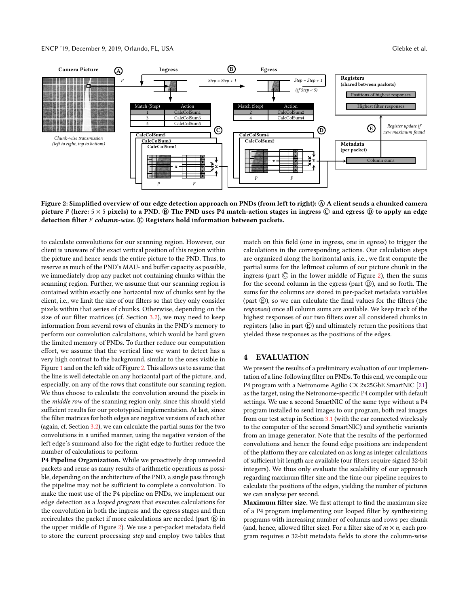#### ENCP '19, December 9, 2019, Orlando, FL, USA Glebke et al.

<span id="page-3-1"></span>

Figure 2: Simplified overview of our edge detection approach on PNDs (from left to right): @ A client sends a chunked camera picture P (here:  $5 \times 5$  pixels) to a PND.  $\circledB$  The PND uses P4 match-action stages in ingress  $\circledC$  and egress  $\circledD$  to apply an edge detection filter  $F$  column-wise.  $E$  Registers hold information between packets.

to calculate convolutions for our scanning region. However, our client is unaware of the exact vertical position of this region within the picture and hence sends the entire picture to the PND. Thus, to reserve as much of the PND's MAU- and buffer capacity as possible, we immediately drop any packet not containing chunks within the scanning region. Further, we assume that our scanning region is contained within exactly one horizontal row of chunks sent by the client, i.e., we limit the size of our filters so that they only consider pixels within that series of chunks. Otherwise, depending on the size of our filter matrices (cf. Section [3.2\)](#page-2-1), we may need to keep information from several rows of chunks in the PND's memory to perform our convolution calculations, which would be hard given the limited memory of PNDs. To further reduce our computation effort, we assume that the vertical line we want to detect has a very high contrast to the background, similar to the ones visible in Figure [1](#page-2-0) and on the left side of Figure [2.](#page-3-1) This allows us to assume that the line is well detectable on any horizontal part of the picture, and, especially, on any of the rows that constitute our scanning region. We thus choose to calculate the convolution around the pixels in the middle row of the scanning region only, since this should yield sufficient results for our prototypical implementation. At last, since the filter matrices for both edges are negative versions of each other (again, cf. Section [3.2\)](#page-2-1), we can calculate the partial sums for the two convolutions in a unified manner, using the negative version of the left edge's summand also for the right edge to further reduce the number of calculations to perform.

P4 Pipeline Organization. While we proactively drop unneeded packets and reuse as many results of arithmetic operations as possible, depending on the architecture of the PND, a single pass through the pipeline may not be sufficient to complete a convolution. To make the most use of the P4 pipeline on PNDs, we implement our edge detection as a looped program that executes calculations for the convolution in both the ingress and the egress stages and then recirculates the packet if more calculations are needed (part  $\circledB$  in the upper middle of Figure [2\)](#page-3-1). We use a per-packet metadata field to store the current processing step and employ two tables that

match on this field (one in ingress, one in egress) to trigger the calculations in the corresponding actions. Our calculation steps are organized along the horizontal axis, i.e., we first compute the partial sums for the leftmost column of our picture chunk in the ingress (part  $\odot$  in the lower middle of Figure [2\)](#page-3-1), then the sums for the second column in the egress (part  $\circledD$ ), and so forth. The sums for the columns are stored in per-packet metadata variables (part  $(E)$ ), so we can calculate the final values for the filters (the responses) once all column sums are available. We keep track of the highest responses of our two filters over all considered chunks in registers (also in part  $(\widehat{E})$ ) and ultimately return the positions that yielded these responses as the positions of the edges.

## <span id="page-3-0"></span>4 EVALUATION

We present the results of a preliminary evaluation of our implementation of a line-following filter on PNDs. To this end, we compile our P4 program with a Netronome Agilio CX 2x25GbE SmartNIC [\[21\]](#page-5-21) as the target, using the Netronome-specific P4 compiler with default settings. We use a second SmartNIC of the same type without a P4 program installed to send images to our program, both real images from our test setup in Section [3.1](#page-1-2) (with the car connected wirelessly to the computer of the second SmartNIC) and synthetic variants from an image generator. Note that the results of the performed convolutions and hence the found edge positions are independent of the platform they are calculated on as long as integer calculations of sufficient bit length are available (our filters require signed 32-bit integers). We thus only evaluate the scalability of our approach regarding maximum filter size and the time our pipeline requires to calculate the positions of the edges, yielding the number of pictures we can analyze per second.

Maximum filter size. We first attempt to find the maximum size of a P4 program implementing our looped filter by synthesizing programs with increasing number of columns and rows per chunk (and, hence, allowed filter size). For a filter size of  $m \times n$ , each program requires n 32-bit metadata fields to store the column-wise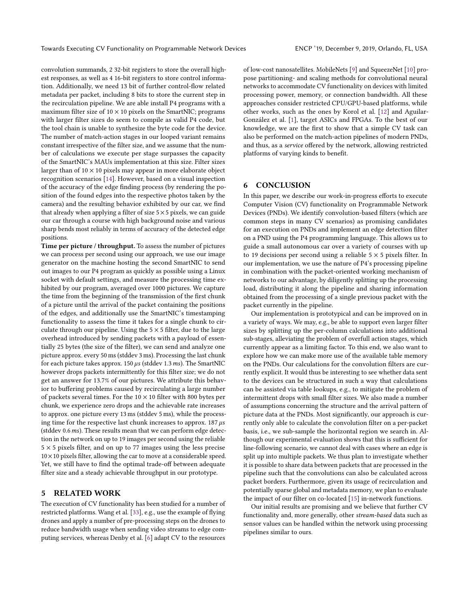convolution summands, 2 32-bit registers to store the overall highest responses, as well as 4 16-bit registers to store control information. Additionally, we need 13 bit of further control-flow related metadata per packet, including 8 bits to store the current step in the recirculation pipeline. We are able install P4 programs with a maximum filter size of  $10 \times 10$  pixels on the SmartNIC; programs with larger filter sizes do seem to compile as valid P4 code, but the tool chain is unable to synthesize the byte code for the device. The number of match-action stages in our looped variant remains constant irrespective of the filter size, and we assume that the number of calculations we execute per stage surpasses the capacity of the SmartNIC's MAUs implementation at this size. Filter sizes larger than of  $10 \times 10$  pixels may appear in more elaborate object recognition scenarios [\[14\]](#page-5-29). However, based on a visual inspection of the accuracy of the edge finding process (by rendering the position of the found edges into the respective photos taken by the camera) and the resulting behavior exhibited by our car, we find that already when applying a filter of size  $5 \times 5$  pixels, we can guide our car through a course with high background noise and various sharp bends most reliably in terms of accuracy of the detected edge positions.

Time per picture / throughput. To assess the number of pictures we can process per second using our approach, we use our image generator on the machine hosting the second SmartNIC to send out images to our P4 program as quickly as possible using a Linux socket with default settings, and measure the processing time exhibited by our program, averaged over 1000 pictures. We capture the time from the beginning of the transmission of the first chunk of a picture until the arrival of the packet containing the positions of the edges, and additionally use the SmartNIC's timestamping functionality to assess the time it takes for a single chunk to circulate through our pipeline. Using the  $5 \times 5$  filter, due to the large overhead introduced by sending packets with a payload of essentially 25 bytes (the size of the filter), we can send and analyze one picture approx. every 50 ms (stddev 3 ms). Processing the last chunk for each picture takes approx. 150  $\mu$ s (stddev 1.3 ms). The SmartNIC however drops packets intermittently for this filter size; we do not get an answer for 13.7% of our pictures. We attribute this behavior to buffering problems caused by recirculating a large number of packets several times. For the  $10 \times 10$  filter with 800 bytes per chunk, we experience zero drops and the achievable rate increases to approx. one picture every 13 ms (stddev 5 ms), while the processing time for the respective last chunk increases to approx.  $187 \mu s$ (stddev 0.6ms). These results mean that we can perform edge detection in the network on up to 19 images per second using the reliable  $5 \times 5$  pixels filter, and on up to 77 images using the less precise  $10\times10$  pixels filter, allowing the car to move at a considerable speed. Yet, we still have to find the optimal trade-off between adequate filter size and a steady achievable throughput in our prototype.

# <span id="page-4-0"></span>5 RELATED WORK

The execution of CV functionality has been studied for a number of restricted platforms. Wang et al. [\[33\]](#page-5-14), e.g., use the example of flying drones and apply a number of pre-processing steps on the drones to reduce bandwidth usage when sending video streams to edge computing services, whereas Denby et al. [\[6\]](#page-5-30) adapt CV to the resources

of low-cost nanosatellites. MobileNets [\[9\]](#page-5-31) and SqueezeNet [\[10\]](#page-5-32) propose partitioning- and scaling methods for convolutional neural networks to accommodate CV functionality on devices with limited processing power, memory, or connection bandwidth. All these approaches consider restricted CPU/GPU-based platforms, while other works, such as the ones by Korol et al. [\[12\]](#page-5-33) and Aguilar-González et al. [\[1\]](#page-5-34), target ASICs and FPGAs. To the best of our knowledge, we are the first to show that a simple CV task can also be performed on the match-action pipelines of modern PNDs, and thus, as a service offered by the network, allowing restricted platforms of varying kinds to benefit.

## <span id="page-4-1"></span>6 CONCLUSION

In this paper, we describe our work-in-progress efforts to execute Computer Vision (CV) functionality on Programmable Network Devices (PNDs). We identify convolution-based filters (which are common steps in many CV scenarios) as promising candidates for an execution on PNDs and implement an edge detection filter on a PND using the P4 programming language. This allows us to guide a small autonomous car over a variety of courses with up to 19 decisions per second using a reliable  $5 \times 5$  pixels filter. In our implementation, we use the nature of P4's processing pipeline in combination with the packet-oriented working mechanism of networks to our advantage, by diligently splitting up the processing load, distributing it along the pipeline and sharing information obtained from the processing of a single previous packet with the packet currently in the pipeline.

Our implementation is prototypical and can be improved on in a variety of ways. We may, e.g., be able to support even larger filter sizes by splitting up the per-column calculations into additional sub-stages, alleviating the problem of overfull action stages, which currently appear as a limiting factor. To this end, we also want to explore how we can make more use of the available table memory on the PNDs. Our calculations for the convolution filters are currently explicit. It would thus be interesting to see whether data sent to the devices can be structured in such a way that calculations can be assisted via table lookups, e.g., to mitigate the problem of intermittent drops with small filter sizes. We also made a number of assumptions concerning the structure and the arrival pattern of picture data at the PNDs. Most significantly, our approach is currently only able to calculate the convolution filter on a per-packet basis, i.e., we sub-sample the horizontal region we search in. Although our experimental evaluation shows that this is sufficient for line-following scenario, we cannot deal with cases where an edge is split up into multiple packets. We thus plan to investigate whether it is possible to share data between packets that are processed in the pipeline such that the convolutions can also be calculated across packet borders. Furthermore, given its usage of recirculation and potentially sparse global and metadata memory, we plan to evaluate the impact of our filter on co-located [\[15\]](#page-5-35) in-network functions.

Our initial results are promising and we believe that further CV functionality and, more generally, other stream-based data such as sensor values can be handled within the network using processing pipelines similar to ours.